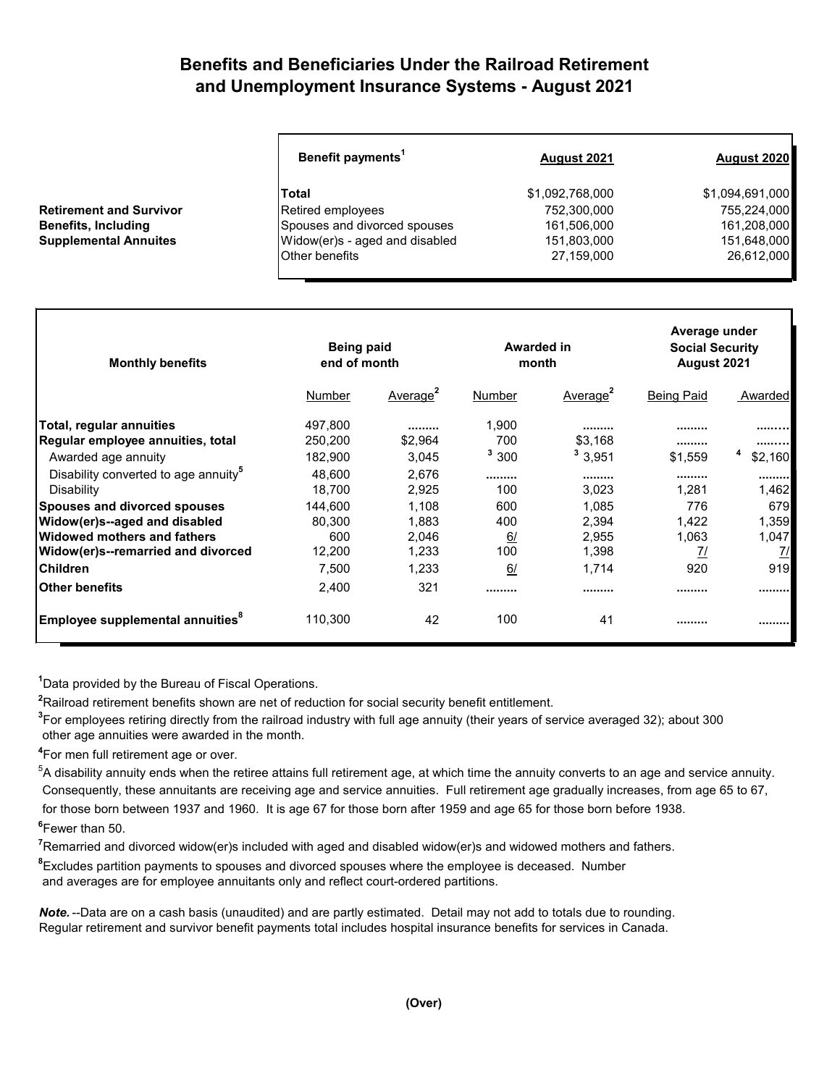## **Benefits and Beneficiaries Under the Railroad Retirement and Unemployment Insurance Systems - August 2021**

| Benefit payments <sup>1</sup> | August 2021                                         | August 2020     |  |
|-------------------------------|-----------------------------------------------------|-----------------|--|
| Total                         | \$1,092,768,000                                     | \$1,094,691,000 |  |
|                               | 752,300,000                                         | 755,224,000     |  |
| Spouses and divorced spouses  | 161,506,000                                         | 161,208,000     |  |
|                               | 151,803,000                                         | 151,648,000     |  |
| <b>Other benefits</b>         | 27,159,000                                          | 26,612,000      |  |
|                               | Retired employees<br>Widow(er)s - aged and disabled |                 |  |

| <b>Monthly benefits</b>                          | <b>Being paid</b><br>end of month |                      | Awarded in<br>month |                      | Average under<br><b>Social Security</b><br>August 2021 |           |
|--------------------------------------------------|-----------------------------------|----------------------|---------------------|----------------------|--------------------------------------------------------|-----------|
|                                                  | Number                            | Average <sup>2</sup> | Number              | Average <sup>2</sup> | <b>Being Paid</b>                                      | Awarded   |
| Total, regular annuities                         | 497,800                           |                      | 1,900               |                      |                                                        |           |
| Regular employee annuities, total                | 250,200                           | \$2,964              | 700                 | \$3,168              |                                                        |           |
| Awarded age annuity                              | 182,900                           | 3,045                | 3,300               | 3,951                | \$1,559                                                | \$2,160   |
| Disability converted to age annuity <sup>5</sup> | 48,600                            | 2,676                |                     |                      |                                                        |           |
| Disability                                       | 18,700                            | 2,925                | 100                 | 3,023                | 1.281                                                  | 1,462     |
| <b>Spouses and divorced spouses</b>              | 144,600                           | 1,108                | 600                 | 1,085                | 776                                                    | 679I      |
| Widow(er)s--aged and disabled                    | 80,300                            | 1,883                | 400                 | 2,394                | 1,422                                                  | 1,359     |
| Widowed mothers and fathers                      | 600                               | 2,046                | 6/                  | 2,955                | 1,063                                                  | 1,047     |
| Widow(er)s--remarried and divorced               | 12,200                            | 1,233                | 100                 | 1,398                | <u>71</u>                                              | <u>7/</u> |
| <b>Children</b>                                  | 7,500                             | 1,233                | 6/                  | 1,714                | 920                                                    | 919       |
| lOther benefits                                  | 2,400                             | 321                  |                     |                      |                                                        |           |
| Employee supplemental annuities <sup>8</sup>     | 110,300                           | 42                   | 100                 | 41                   |                                                        |           |

**1** Data provided by the Bureau of Fiscal Operations.

**2** Railroad retirement benefits shown are net of reduction for social security benefit entitlement.

**3** For employees retiring directly from the railroad industry with full age annuity (their years of service averaged 32); about 300 other age annuities were awarded in the month.

**4** For men full retirement age or over.

 $^5$ A disability annuity ends when the retiree attains full retirement age, at which time the annuity converts to an age and service annuity. Consequently, these annuitants are receiving age and service annuities. Full retirement age gradually increases, from age 65 to 67, for those born between 1937 and 1960. It is age 67 for those born after 1959 and age 65 for those born before 1938.

**6** Fewer than 50.

**7** Remarried and divorced widow(er)s included with aged and disabled widow(er)s and widowed mothers and fathers.

**8** Excludes partition payments to spouses and divorced spouses where the employee is deceased. Number and averages are for employee annuitants only and reflect court-ordered partitions.

*Note.* --Data are on a cash basis (unaudited) and are partly estimated. Detail may not add to totals due to rounding. Regular retirement and survivor benefit payments total includes hospital insurance benefits for services in Canada.